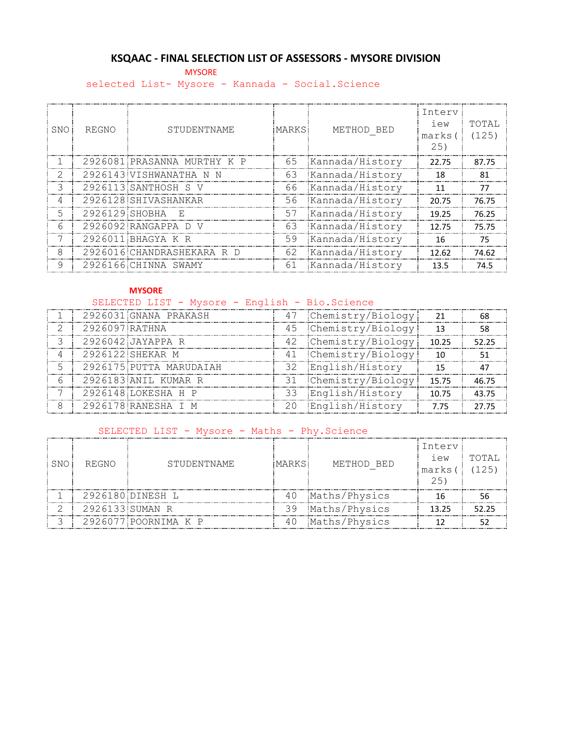# **KSQAAC - FINAL SELECTION LIST OF ASSESSORS - MYSORE DIVISION**

**MYSORE** 

selected List- Mysore - Kannada - Social.Science

| SNO           | REGNO          | STUDENTNAME                 | MARKS. | METHOD BED      | Interv<br>iew<br>marks (<br>25) | TOTAI,<br>(125) |
|---------------|----------------|-----------------------------|--------|-----------------|---------------------------------|-----------------|
|               |                | 2926081 PRASANNA MURTHY K P | 65     | Kannada/History | 22.75                           | 87.75           |
|               |                | 2926143 VISHWANATHA N N     | 63     | Kannada/History | 18                              | 81              |
| $\mathcal{L}$ |                | 2926113 SANTHOSH S V        | 66     | Kannada/History | 11                              | 77              |
|               |                | 2926128 SHIVASHANKAR        | 56     | Kannada/History | 20.75                           | 76.75           |
| 5             | 2926129 SHOBHA | - F.                        | 57     | Kannada/History | 19.25                           | 76.25           |
| 6             |                | 2926092 RANGAPPA D V        | 63     | Kannada/History | 12.75                           | 75.75           |
|               |                | 2926011 BHAGYA K R          | 59     | Kannada/History | 16                              | 75              |
| 8             |                | 2926016 CHANDRASHEKARA R D  | 62     | Kannada/History | 12.62                           | 74.62           |
| 9             |                | 2926166 CHINNA SWAMY        | 61     | Kannada/History | 13.5                            | 74.5            |

#### **MYSORE**

# SELECTED LIST - Mysore - English - Bio.Science

|                | 2926031 GNANA PRAKASH   | 47 Chemistry/Biology  |       |       |
|----------------|-------------------------|-----------------------|-------|-------|
| 2926097 RATHNA |                         | 45 Chemistry/Biology  | 13    |       |
|                | 2926042 JAYAPPA R       | 42 Chemistry/Biology! | 10.25 | 52.25 |
|                | 2926122 SHEKAR M        | 41 Chemistry/Biology  | 10    |       |
|                | 2926175 PUTTA MARUDAIAH | 32 English/History    | 15    |       |
|                | 2926183 ANIL KUMAR R    | 31 Chemistry/Biology  | 15.75 | 46.75 |
|                | 2926148 LOKESHA H P     | 33 English/History    | 10.75 | 43.75 |
|                |                         |                       |       |       |

# SELECTED LIST - Mysore - Maths - Phy.Science

| SNO I | REGNO           | STUDENTNAME          | MARKS | METHOD BED    | Interv<br>lew<br>marks<br>25' | TOTAL<br>(125) |
|-------|-----------------|----------------------|-------|---------------|-------------------------------|----------------|
|       |                 | 2926180 DINESH L     |       | Maths/Physics |                               |                |
|       | 2926133 SUMAN R |                      | 39    | Maths/Physics | 13.25                         | 5225           |
|       |                 | 2926077 POORNIMA K P |       | Maths/Physics |                               |                |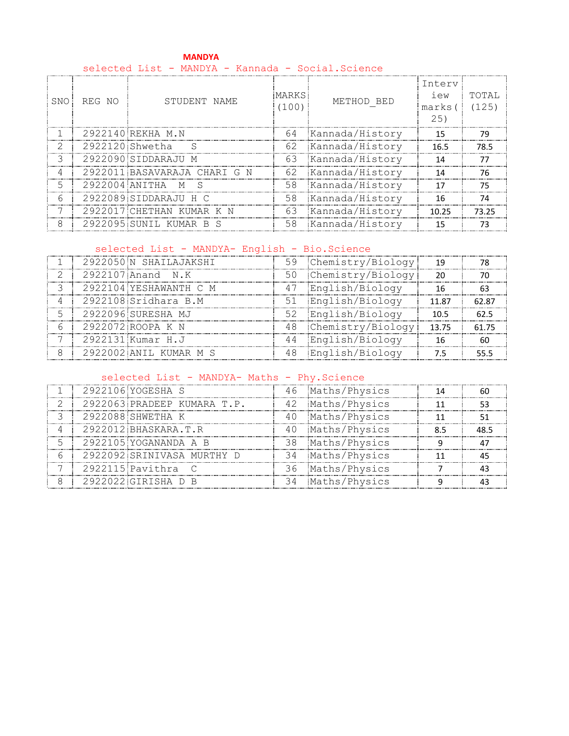#### **MANDYA** selected List - MANDYA - Kannada - Social.Science

| SNO. | REG NO          | STUDENT NAME                 | <b>MARKS</b><br>(100) | METHOD BED         | Interv<br>iew<br>marks (<br>25) | TOTAI,<br>(125) |
|------|-----------------|------------------------------|-----------------------|--------------------|---------------------------------|-----------------|
|      |                 | 2922140 REKHA M.N            |                       | 64 Kannada/History | 15                              | 79              |
|      | 2922120 Shwetha | -S                           | 62                    | Kannada/History    | 16.5                            | 78.5            |
|      |                 | 2922090 SIDDARAJU M          | 63                    | Kannada/History    | 14                              | 77              |
| 4    |                 | 2922011 BASAVARAJA CHARI G N | 62                    | Kannada/History    | 14                              | 76              |
| 5    | 2922004 ANITHA  | S.<br>M                      | 58                    | Kannada/History    | 17                              | 75              |
| 6    |                 | 2922089 SIDDARAJU H C        | 58                    | Kannada/History    | 16                              | 74              |
|      |                 | 2922017 CHETHAN KUMAR K N    | 63                    | Kannada/History    | 10.25                           | 73 25           |
| 8    |                 | 2922095 SUNIL KUMAR B S      | 58                    | Kannada/History    | 15                              |                 |

# selected List - MANDYA- English - Bio.Science

| 2922050 N SHAILAJAKSHI |    | 59 Chemistry/Biology! | 19    |       |
|------------------------|----|-----------------------|-------|-------|
| 2922107 Anand N.K      |    | 50 Chemistry/Biology! | 20    |       |
| 2922104 YESHAWANTH C M | 47 | English/Biology       |       |       |
| 2922108 Sridhara B.M   |    | 51 English/Biology    | 11.87 | 62.87 |
| 2922096 SURESHA MJ     |    | 52 English/Biology    | 10.5  |       |
| 2922072 ROOPA K N      |    | 48 Chemistry/Biology  | 13.75 | 61 75 |
| 2922131 Kumar H.J      |    | 44 English/Biology    |       |       |
| 2922002 ANIL KUMAR M S |    | 48 English/Biology    |       |       |

# selected List - MANDYA- Maths - Phy. Science

| 2922106 YOGESHA S           |    | 46 Maths/Physics |  |
|-----------------------------|----|------------------|--|
| 2922063 PRADEEP KUMARA T.P. |    | 42 Maths/Physics |  |
| 2922088 SHWETHA K           | 40 | Maths/Physics    |  |
| 2922012 BHASKARA.T.R        |    | 40 Maths/Physics |  |
| 2922105 YOGANANDA A B       |    | 38 Maths/Physics |  |
| 2922092 SRINIVASA MURTHY D  |    | 34 Maths/Physics |  |
| 2922115 Pavithra            |    | 36 Maths/Physics |  |
| 2922022 GIRISHA D B         |    | 34 Maths/Physics |  |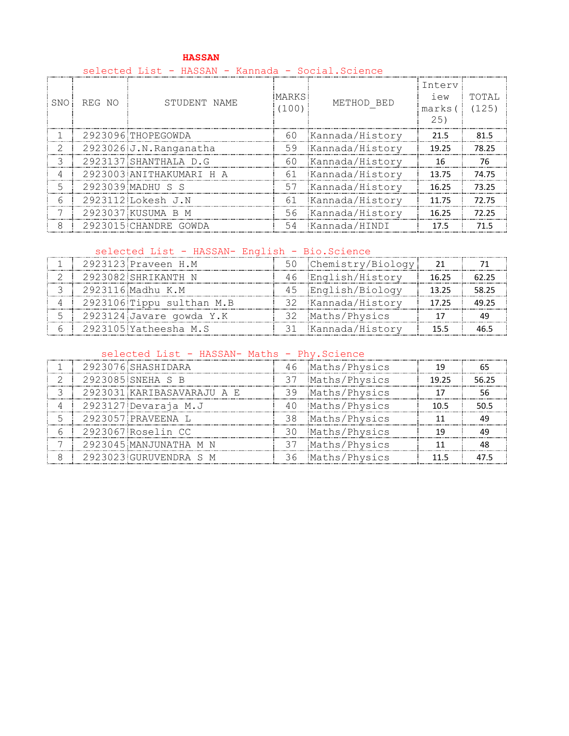|            | selected List - HASSAN - Kannada - Social.Science |                          |                |                    |                                  |                |  |  |  |
|------------|---------------------------------------------------|--------------------------|----------------|--------------------|----------------------------------|----------------|--|--|--|
| <b>SNO</b> | REG NO                                            | STUDENT NAME             | MARKS<br>(100) | METHOD BED         | Interv<br>i ew<br>marks (<br>25) | TOTAL<br>(125) |  |  |  |
|            |                                                   | 2923096 THOPEGOWDA       |                | 60 Kannada/History | 21.5                             | 81.5           |  |  |  |
| 2          |                                                   | 2923026 J.N.Ranganatha   | 59             | Kannada/History    | 19.25                            | 78.25          |  |  |  |
| 3          |                                                   | 2923137 SHANTHALA D.G    | 60             | Kannada/History    | 16                               | 76             |  |  |  |
| 4          |                                                   | 2923003 ANITHAKUMARI H A | 61             | Kannada/History    | 13.75                            | 74.75          |  |  |  |
| 5          |                                                   | 2923039 MADHU S S        | 57             | Kannada/History    | 16.25                            | 73.25          |  |  |  |
| 6          |                                                   | 2923112 Lokesh J.N       | 61             | Kannada/History    | 11.75                            | 72.75          |  |  |  |
|            |                                                   | 2923037 KUSUMA B M       | 56             | Kannada/History    | 16.25                            | 72.25          |  |  |  |
| 8          |                                                   | 2923015 CHANDRE GOWDA    | 54             | Kannada/HINDI      | 17.5                             | 71.5           |  |  |  |

# **HASSAN**

# selected List - HASSAN- English - Bio.Science

|  | 2923123 Praveen H.M       | 50 Chemistry/Biology |       |       |
|--|---------------------------|----------------------|-------|-------|
|  | 2923082 SHRIKANTH N       | 46 English/History   | 16.25 |       |
|  | 2923116 Madhu K.M         | 45 English/Biology   | 13.25 | 58.25 |
|  | 2923106 Tippu sulthan M.B | 32 Kannada/History   | 17.25 | 49.25 |
|  | 2923124 Javare gowda Y.K  | 32 Maths/Physics     |       |       |
|  | 2923105 Yatheesha M.S     | 31 Kannada/History   | 155   |       |

### selected List - HASSAN- Maths - Phy. Science

|  | 2923076 SHASHIDARA         |    | 46 Maths/Physics | 1 Q   |       |
|--|----------------------------|----|------------------|-------|-------|
|  | 2923085 SNEHA S B          |    | 37 Maths/Physics | 19.25 | 56.25 |
|  | 2923031 KARIBASAVARAJU A E |    | 39 Maths/Physics |       |       |
|  | 2923127 Devaraja M.J       |    | 40 Maths/Physics | 10.5  | 50 5  |
|  | 2923057 PRAVEENA L         |    | 38 Maths/Physics |       |       |
|  | 2923067 Roselin CC         |    | 30 Maths/Physics |       |       |
|  | 2923045 MANJUNATHA M N     | 37 | Maths/Physics    |       |       |
|  | 2923023 GURUVENDRA S M     |    | 36 Maths/Physics | 11 5  |       |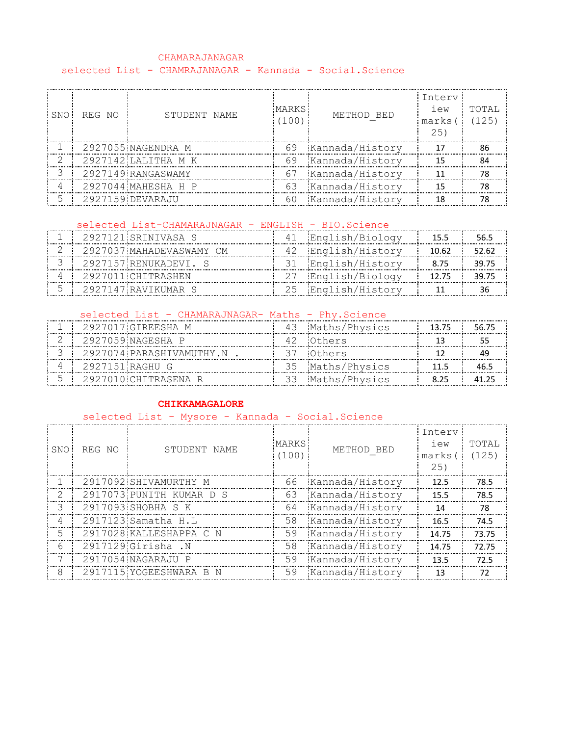#### CHAMARAJANAGAR selected List - CHAMRAJANAGAR - Kannada - Social.Science

| SNO | REG NO | STUDENT NAME        | MARKS.<br>100) | METHOD BED      | Interv<br>iew<br>marks (<br>2.51 | TOTAL<br>(125) |
|-----|--------|---------------------|----------------|-----------------|----------------------------------|----------------|
|     |        | 2927055 NAGENDRA M  | 69             | Kannada/History |                                  |                |
|     |        | 2927142 LALITHA M K | 69             | Kannada/History |                                  |                |
|     |        | 2927149 RANGASWAMY  | 67             | Kannada/History |                                  |                |
|     |        | 2927044 MAHESHA H P | 63             | Kannada/History |                                  |                |
|     |        | 2927159 DEVARAJU    | 60             | Kannada/History |                                  |                |

# selected List-CHAMARAJNAGAR - ENGLISH - BIO.Science

|  | 2927121 SRINIVASA S      |     | 41 English/Biology |       |       |
|--|--------------------------|-----|--------------------|-------|-------|
|  | 2927037 MAHADEVASWAMY CM |     | English/History    | 10.62 | 52.62 |
|  | 2927157 RENUKADEVI S     |     | 31 English/History |       |       |
|  | 2927011 CHITRASHEN       |     | 27 English/Biology | 12.75 |       |
|  | 2927147 RAVIKUMAR S      | -25 | Enalish/Historv: " |       |       |

### selected List - CHAMARAJNAGAR- Maths - Phy. Science

|                 | 2927017 GIREESHA M       | 43 Maths/Physics | 13.75 | 56.75 |
|-----------------|--------------------------|------------------|-------|-------|
|                 | 2927059 NAGESHA P        | 42 Others        |       |       |
|                 | 2927074.PARASHIVAMUTHY.N | :Others:         |       |       |
| 2927151 RAGHU G |                          | 35 Maths/Physics | 11 5  |       |
|                 | 2927010 CHITRASENA R     | Maths/Physics    | 825   |       |

# **CHIKKAMAGALORE**

# selected List - Mysore - Kannada - Social.Science

| SNO | REG NO | STUDENT NAME             | <b>MARKS</b><br>(100) | METHOD BED         | Interv<br>iew<br>marks (<br>25) | TOTAL<br>(125) |
|-----|--------|--------------------------|-----------------------|--------------------|---------------------------------|----------------|
|     |        | 2917092 SHIVAMURTHY M    |                       | 66 Kannada/History | 12.5                            | 78.5           |
|     |        | 2917073 PUNITH KUMAR D S | 63                    | Kannada/History    | 15.5                            | 78.5           |
| ्द  |        | 2917093 SHOBHA S K       | 64                    | Kannada/History    | 14                              | 78             |
| 4   |        | 2917123 Samatha H.L      | 58                    | Kannada/History    | 16.5                            | 74.5           |
| 5   |        | 2917028 KALLESHAPPA C N  | 59                    | Kannada/History    | 14.75                           | 73.75          |
| 6   |        | 2917129 Girisha .N       | 58                    | Kannada/History    | 14.75                           | 72.75          |
|     |        | 2917054 NAGARAJU P       | 59                    | Kannada/History    | 13.5                            | 72.5           |
| 8   |        | 2917115 YOGEESHWARA B N  | 59                    | Kannada/History    | 13                              |                |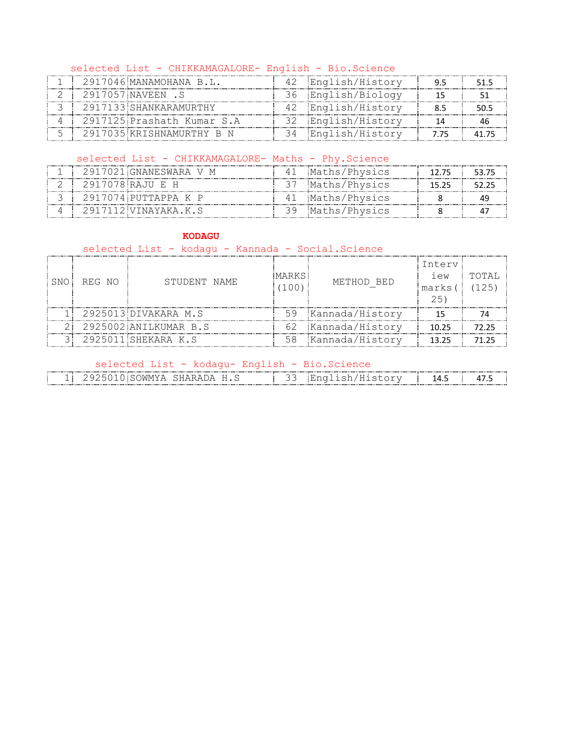#### selected List - CHIKKAMAGALORE- English - Bio.Science

| 2917046 MANAMOHANA B.L.    | English/History    |     |  |
|----------------------------|--------------------|-----|--|
| 2917057 NAVEEN S           | 36 English/Biology |     |  |
| 2917133 SHANKARAMURTHY     | 42 English/History |     |  |
| 2917125 Prashath Kumar S.A | 32 English/History |     |  |
| 2917035 KRISHNAMURTHY B N  | 34 English/History | 775 |  |

### selected List - CHIKKAMAGALORE- Maths - Phy. Science

| --------------- | 2917021 GNANESWARA V M                        |     | Maths/Physics |  |
|-----------------|-----------------------------------------------|-----|---------------|--|
|                 | 2917078 RAJII E H<br>------------------------ |     | Maths/Physics |  |
|                 | 2917074 РUTTAPPA К Р                          | 4 I | Maths/Physics |  |
|                 | 2917112 VINAYAKA K.S                          |     | Maths/Physics |  |

#### **KODAGU**

# selected List - kodagu - Kannada - Social.Science

| SNO - | REG NO | STUDENT NAME          | MARKS<br>100 | METHOD BED         | Interv<br>iew<br>marks(<br>25. | TOTAI<br>(125) |
|-------|--------|-----------------------|--------------|--------------------|--------------------------------|----------------|
|       |        | 2925013 DIVAKARA M.S  |              | 59 Kannada/History |                                |                |
|       |        | 2925002 ANILKUMAR B.S |              | 62 Kannada/History | 10 25                          | 72 25          |
|       |        | 2925011 SHEKARA K.S   |              | 58 Kannada/History | 13.25                          |                |

#### selected List - kodagu- English - Bio.Science

| ----------------<br>--<br>-- | ----------------------<br> |  | ---------------   |  |
|------------------------------|----------------------------|--|-------------------|--|
|                              |                            |  | ----------------- |  |